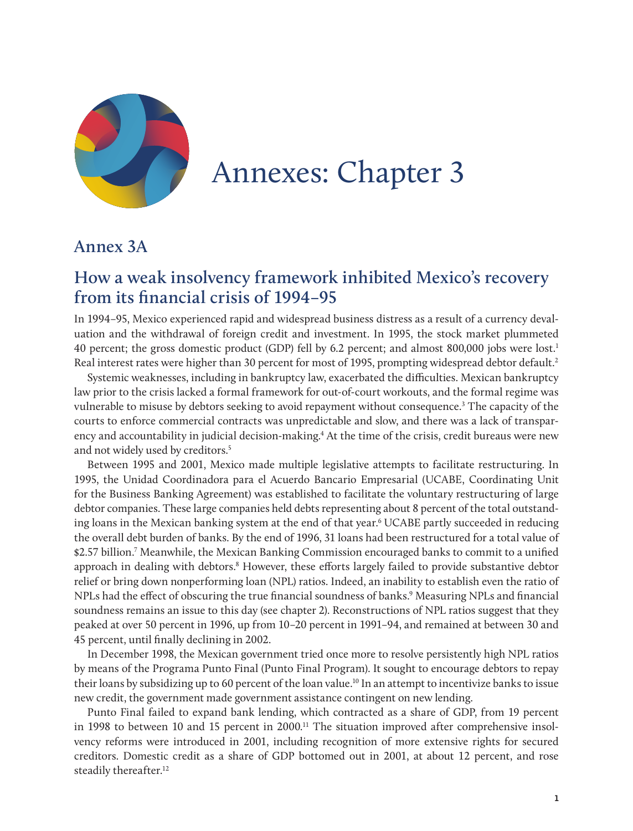

# Annexes: Chapter 3

#### **Annex 3A**

# **How a weak insolvency framework inhibited Mexico's recovery from its financial crisis of 1994–95**

In 1994–95, Mexico experienced rapid and widespread business distress as a result of a currency devaluation and the withdrawal of foreign credit and investment. In 1995, the stock market plummeted 40 percent; the gross domestic product (GDP) fell by 6.2 percent; and almost 800,000 jobs were lost.1 Real interest rates were higher than 30 percent for most of 1995, prompting widespread debtor default.<sup>2</sup>

Systemic weaknesses, including in bankruptcy law, exacerbated the difficulties. Mexican bankruptcy law prior to the crisis lacked a formal framework for out-of-court workouts, and the formal regime was vulnerable to misuse by debtors seeking to avoid repayment without consequence.<sup>3</sup> The capacity of the courts to enforce commercial contracts was unpredictable and slow, and there was a lack of transparency and accountability in judicial decision-making.4 At the time of the crisis, credit bureaus were new and not widely used by creditors.<sup>5</sup>

Between 1995 and 2001, Mexico made multiple legislative attempts to facilitate restructuring. In 1995, the Unidad Coordinadora para el Acuerdo Bancario Empresarial (UCABE, Coordinating Unit for the Business Banking Agreement) was established to facilitate the voluntary restructuring of large debtor companies. These large companies held debts representing about 8 percent of the total outstanding loans in the Mexican banking system at the end of that year.6 UCABE partly succeeded in reducing the overall debt burden of banks. By the end of 1996, 31 loans had been restructured for a total value of \$2.57 billion.7 Meanwhile, the Mexican Banking Commission encouraged banks to commit to a unified approach in dealing with debtors.<sup>8</sup> However, these efforts largely failed to provide substantive debtor relief or bring down nonperforming loan (NPL) ratios. Indeed, an inability to establish even the ratio of NPLs had the effect of obscuring the true financial soundness of banks.<sup>9</sup> Measuring NPLs and financial soundness remains an issue to this day (see chapter 2). Reconstructions of NPL ratios suggest that they peaked at over 50 percent in 1996, up from 10–20 percent in 1991–94, and remained at between 30 and 45 percent, until finally declining in 2002.

In December 1998, the Mexican government tried once more to resolve persistently high NPL ratios by means of the Programa Punto Final (Punto Final Program). It sought to encourage debtors to repay their loans by subsidizing up to 60 percent of the loan value.10 In an attempt to incentivize banks to issue new credit, the government made government assistance contingent on new lending.

Punto Final failed to expand bank lending, which contracted as a share of GDP, from 19 percent in 1998 to between 10 and 15 percent in 2000.<sup>11</sup> The situation improved after comprehensive insolvency reforms were introduced in 2001, including recognition of more extensive rights for secured creditors. Domestic credit as a share of GDP bottomed out in 2001, at about 12 percent, and rose steadily thereafter.<sup>12</sup>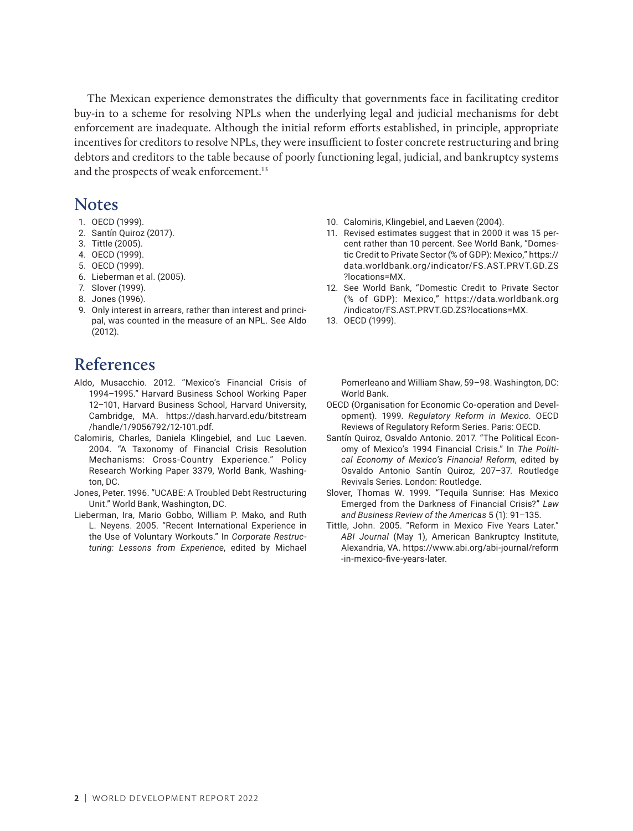The Mexican experience demonstrates the difficulty that governments face in facilitating creditor buy-in to a scheme for resolving NPLs when the underlying legal and judicial mechanisms for debt enforcement are inadequate. Although the initial reform efforts established, in principle, appropriate incentives for creditors to resolve NPLs, they were insufficient to foster concrete restructuring and bring debtors and creditors to the table because of poorly functioning legal, judicial, and bankruptcy systems and the prospects of weak enforcement.<sup>13</sup>

#### **Notes**

- 1. OECD (1999).
- 2. Santín Quiroz (2017).
- 3. Tittle (2005).
- 4. OECD (1999).
- 5. OECD (1999).
- 6. Lieberman et al. (2005).
- 7. Slover (1999).
- 8. Jones (1996).
- 9. Only interest in arrears, rather than interest and principal, was counted in the measure of an NPL. See Aldo (2012).

# **References**

- Aldo, Musacchio. 2012. "Mexico's Financial Crisis of 1994–1995." Harvard Business School Working Paper 12–101, Harvard Business School, Harvard University, Cambridge, MA. https://dash.harvard.edu/bitstream /handle/1/9056792/12-101.pdf.
- Calomiris, Charles, Daniela Klingebiel, and Luc Laeven. 2004. "A Taxonomy of Financial Crisis Resolution Mechanisms: Cross-Country Experience." Policy Research Working Paper 3379, World Bank, Washington, DC.
- Jones, Peter. 1996. "UCABE: A Troubled Debt Restructuring Unit." World Bank, Washington, DC.
- Lieberman, Ira, Mario Gobbo, William P. Mako, and Ruth L. Neyens. 2005. "Recent International Experience in the Use of Voluntary Workouts." In *Corporate Restructuring: Lessons from Experience*, edited by Michael
- 10. Calomiris, Klingebiel, and Laeven (2004).
- 11. Revised estimates suggest that in 2000 it was 15 percent rather than 10 percent. See World Bank, "Domestic Credit to Private Sector (% of GDP): Mexico," [https://](https://data.worldbank.org/indicator/FS.AST.PRVT.GD.ZS?locations=MX) [data.worldbank.org/indicator/FS.AST.PRVT.GD.ZS](https://data.worldbank.org/indicator/FS.AST.PRVT.GD.ZS?locations=MX) [?locations=MX.](https://data.worldbank.org/indicator/FS.AST.PRVT.GD.ZS?locations=MX)
- 12. See World Bank, "Domestic Credit to Private Sector (% of GDP): Mexico," [https://data.worldbank.org](https://data.worldbank.org/indicator/FS.AST.PRVT.GD.ZS?locations=MX) [/indicator/FS.AST.PRVT.GD.ZS?locations=MX.](https://data.worldbank.org/indicator/FS.AST.PRVT.GD.ZS?locations=MX)
- 13. OECD (1999).

Pomerleano and William Shaw, 59–98. Washington, DC: World Bank.

- OECD (Organisation for Economic Co-operation and Development). 1999. *Regulatory Reform in Mexico*. OECD Reviews of Regulatory Reform Series. Paris: OECD.
- Santín Quiroz, Osvaldo Antonio. 2017. "The Political Economy of Mexico's 1994 Financial Crisis." In *The Political Economy of Mexico's Financial Reform*, edited by Osvaldo Antonio Santín Quiroz, 207–37. Routledge Revivals Series. London: Routledge.
- Slover, Thomas W. 1999. "Tequila Sunrise: Has Mexico Emerged from the Darkness of Financial Crisis?" *Law and Business Review of the Americas* 5 (1): 91–135.
- Tittle, John. 2005. "Reform in Mexico Five Years Later." *ABI Journal* (May 1), American Bankruptcy Institute, Alexandria, VA. [https://www.abi.org/abi-journal/reform](https://www.abi.org/abi-journal/reform-in-mexico-five-years-later) [-in-mexico-five-years-later.](https://www.abi.org/abi-journal/reform-in-mexico-five-years-later)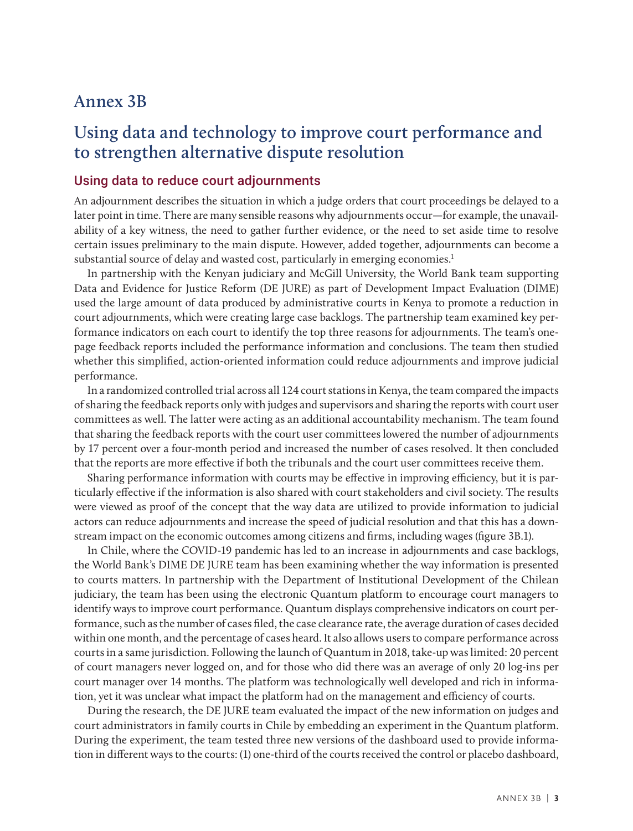#### **Annex 3B**

# **Using data and technology to improve court performance and to strengthen alternative dispute resolution**

#### Using data to reduce court adjournments

An adjournment describes the situation in which a judge orders that court proceedings be delayed to a later point in time. There are many sensible reasons why adjournments occur—for example, the unavailability of a key witness, the need to gather further evidence, or the need to set aside time to resolve certain issues preliminary to the main dispute. However, added together, adjournments can become a substantial source of delay and wasted cost, particularly in emerging economies.<sup>1</sup>

In partnership with the Kenyan judiciary and McGill University, the World Bank team supporting Data and Evidence for Justice Reform (DE JURE) as part of Development Impact Evaluation (DIME) used the large amount of data produced by administrative courts in Kenya to promote a reduction in court adjournments, which were creating large case backlogs. The partnership team examined key performance indicators on each court to identify the top three reasons for adjournments. The team's onepage feedback reports included the performance information and conclusions. The team then studied whether this simplified, action-oriented information could reduce adjournments and improve judicial performance.

In a randomized controlled trial across all 124 court stations in Kenya, the team compared the impacts of sharing the feedback reports only with judges and supervisors and sharing the reports with court user committees as well. The latter were acting as an additional accountability mechanism. The team found that sharing the feedback reports with the court user committees lowered the number of adjournments by 17 percent over a four-month period and increased the number of cases resolved. It then concluded that the reports are more effective if both the tribunals and the court user committees receive them.

Sharing performance information with courts may be effective in improving efficiency, but it is particularly effective if the information is also shared with court stakeholders and civil society. The results were viewed as proof of the concept that the way data are utilized to provide information to judicial actors can reduce adjournments and increase the speed of judicial resolution and that this has a downstream impact on the economic outcomes among citizens and firms, including wages (figure 3B.1).

In Chile, where the COVID-19 pandemic has led to an increase in adjournments and case backlogs, the World Bank's DIME DE JURE team has been examining whether the way information is presented to courts matters. In partnership with the Department of Institutional Development of the Chilean judiciary, the team has been using the electronic Quantum platform to encourage court managers to identify ways to improve court performance. Quantum displays comprehensive indicators on court performance, such as the number of cases filed, the case clearance rate, the average duration of cases decided within one month, and the percentage of cases heard. It also allows users to compare performance across courts in a same jurisdiction. Following the launch of Quantum in 2018, take-up was limited: 20 percent of court managers never logged on, and for those who did there was an average of only 20 log-ins per court manager over 14 months. The platform was technologically well developed and rich in information, yet it was unclear what impact the platform had on the management and efficiency of courts.

During the research, the DE JURE team evaluated the impact of the new information on judges and court administrators in family courts in Chile by embedding an experiment in the Quantum platform. During the experiment, the team tested three new versions of the dashboard used to provide information in different ways to the courts: (1) one-third of the courts received the control or placebo dashboard,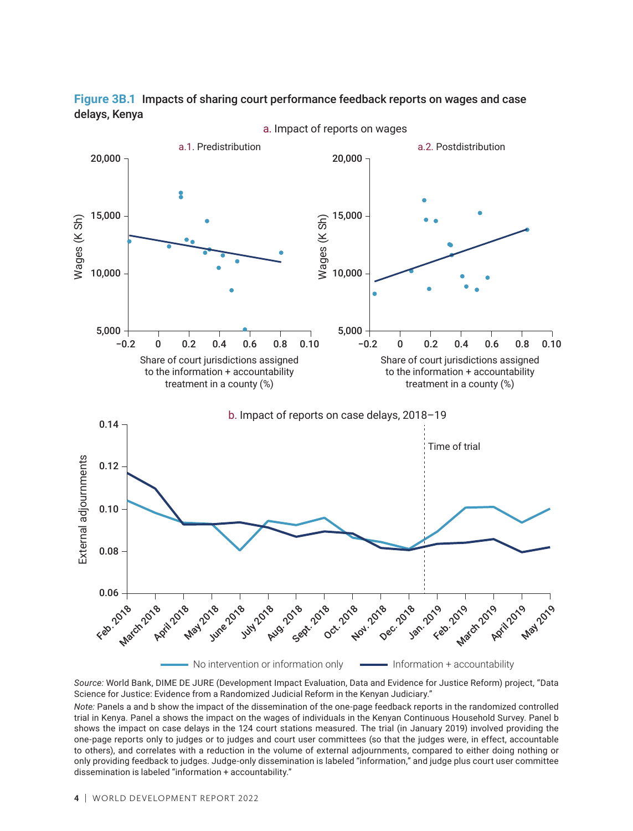

**Figure 3B.1** Impacts of sharing court performance feedback reports on wages and case delays, Kenya

*Source:* World Bank, DIME DE JURE (Development Impact Evaluation, Data and Evidence for Justice Reform) project, "Data Science for Justice: Evidence from a Randomized Judicial Reform in the Kenyan Judiciary."

*Note:* Panels a and b show the impact of the dissemination of the one-page feedback reports in the randomized controlled trial in Kenya. Panel a shows the impact on the wages of individuals in the Kenyan Continuous Household Survey. Panel b shows the impact on case delays in the 124 court stations measured. The trial (in January 2019) involved providing the one-page reports only to judges or to judges and court user committees (so that the judges were, in effect, accountable to others), and correlates with a reduction in the volume of external adjournments, compared to either doing nothing or only providing feedback to judges. Judge-only dissemination is labeled "information," and judge plus court user committee dissemination is labeled "information + accountability."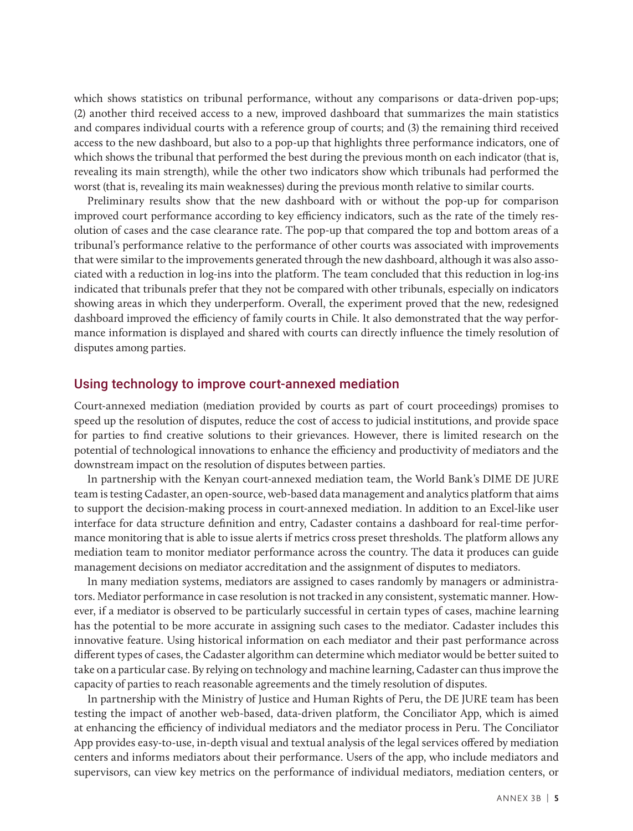which shows statistics on tribunal performance, without any comparisons or data-driven pop-ups; (2) another third received access to a new, improved dashboard that summarizes the main statistics and compares individual courts with a reference group of courts; and (3) the remaining third received access to the new dashboard, but also to a pop-up that highlights three performance indicators, one of which shows the tribunal that performed the best during the previous month on each indicator (that is, revealing its main strength), while the other two indicators show which tribunals had performed the worst (that is, revealing its main weaknesses) during the previous month relative to similar courts.

Preliminary results show that the new dashboard with or without the pop-up for comparison improved court performance according to key efficiency indicators, such as the rate of the timely resolution of cases and the case clearance rate. The pop-up that compared the top and bottom areas of a tribunal's performance relative to the performance of other courts was associated with improvements that were similar to the improvements generated through the new dashboard, although it was also associated with a reduction in log-ins into the platform. The team concluded that this reduction in log-ins indicated that tribunals prefer that they not be compared with other tribunals, especially on indicators showing areas in which they underperform. Overall, the experiment proved that the new, redesigned dashboard improved the efficiency of family courts in Chile. It also demonstrated that the way performance information is displayed and shared with courts can directly influence the timely resolution of disputes among parties.

#### Using technology to improve court-annexed mediation

Court-annexed mediation (mediation provided by courts as part of court proceedings) promises to speed up the resolution of disputes, reduce the cost of access to judicial institutions, and provide space for parties to find creative solutions to their grievances. However, there is limited research on the potential of technological innovations to enhance the efficiency and productivity of mediators and the downstream impact on the resolution of disputes between parties.

In partnership with the Kenyan court-annexed mediation team, the World Bank's DIME DE JURE team is testing Cadaster, an open-source, web-based data management and analytics platform that aims to support the decision-making process in court-annexed mediation. In addition to an Excel-like user interface for data structure definition and entry, Cadaster contains a dashboard for real-time performance monitoring that is able to issue alerts if metrics cross preset thresholds. The platform allows any mediation team to monitor mediator performance across the country. The data it produces can guide management decisions on mediator accreditation and the assignment of disputes to mediators.

In many mediation systems, mediators are assigned to cases randomly by managers or administrators. Mediator performance in case resolution is not tracked in any consistent, systematic manner. However, if a mediator is observed to be particularly successful in certain types of cases, machine learning has the potential to be more accurate in assigning such cases to the mediator. Cadaster includes this innovative feature. Using historical information on each mediator and their past performance across different types of cases, the Cadaster algorithm can determine which mediator would be better suited to take on a particular case. By relying on technology and machine learning, Cadaster can thus improve the capacity of parties to reach reasonable agreements and the timely resolution of disputes.

In partnership with the Ministry of Justice and Human Rights of Peru, the DE JURE team has been testing the impact of another web-based, data-driven platform, the Conciliator App, which is aimed at enhancing the efficiency of individual mediators and the mediator process in Peru. The Conciliator App provides easy-to-use, in-depth visual and textual analysis of the legal services offered by mediation centers and informs mediators about their performance. Users of the app, who include mediators and supervisors, can view key metrics on the performance of individual mediators, mediation centers, or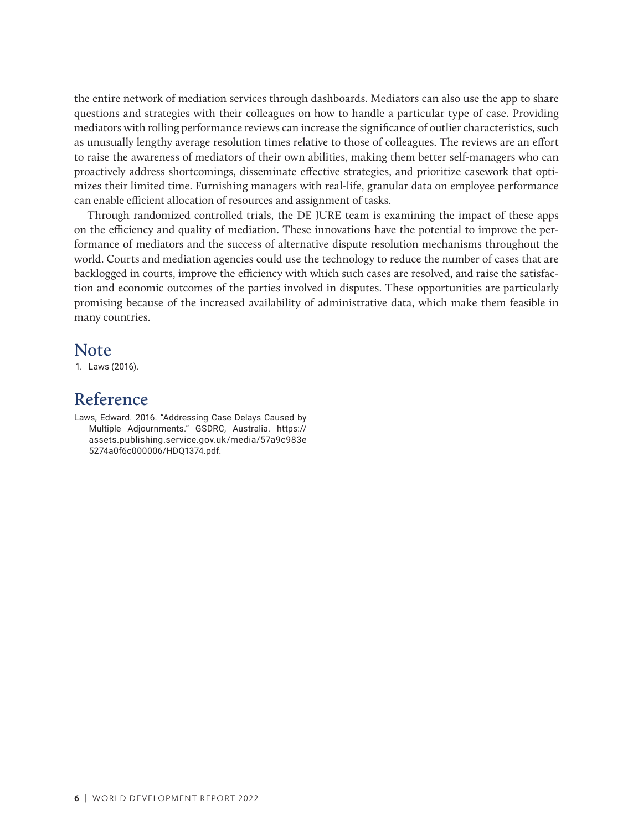the entire network of mediation services through dashboards. Mediators can also use the app to share questions and strategies with their colleagues on how to handle a particular type of case. Providing mediators with rolling performance reviews can increase the significance of outlier characteristics, such as unusually lengthy average resolution times relative to those of colleagues. The reviews are an effort to raise the awareness of mediators of their own abilities, making them better self-managers who can proactively address shortcomings, disseminate effective strategies, and prioritize casework that optimizes their limited time. Furnishing managers with real-life, granular data on employee performance can enable efficient allocation of resources and assignment of tasks.

Through randomized controlled trials, the DE JURE team is examining the impact of these apps on the efficiency and quality of mediation. These innovations have the potential to improve the performance of mediators and the success of alternative dispute resolution mechanisms throughout the world. Courts and mediation agencies could use the technology to reduce the number of cases that are backlogged in courts, improve the efficiency with which such cases are resolved, and raise the satisfaction and economic outcomes of the parties involved in disputes. These opportunities are particularly promising because of the increased availability of administrative data, which make them feasible in many countries.

#### **Note**

1. Laws (2016).

#### **Reference**

Laws, Edward. 2016. "Addressing Case Delays Caused by Multiple Adjournments." GSDRC, Australia. [https://](https://assets.publishing.service.gov.uk/media/57a9c983e5274a0f6c000006/HDQ1374.pdf) [assets.publishing.service.gov.uk/media/57a9c983e](https://assets.publishing.service.gov.uk/media/57a9c983e5274a0f6c000006/HDQ1374.pdf) [5274a0f6c000006/HDQ1374.pdf](https://assets.publishing.service.gov.uk/media/57a9c983e5274a0f6c000006/HDQ1374.pdf).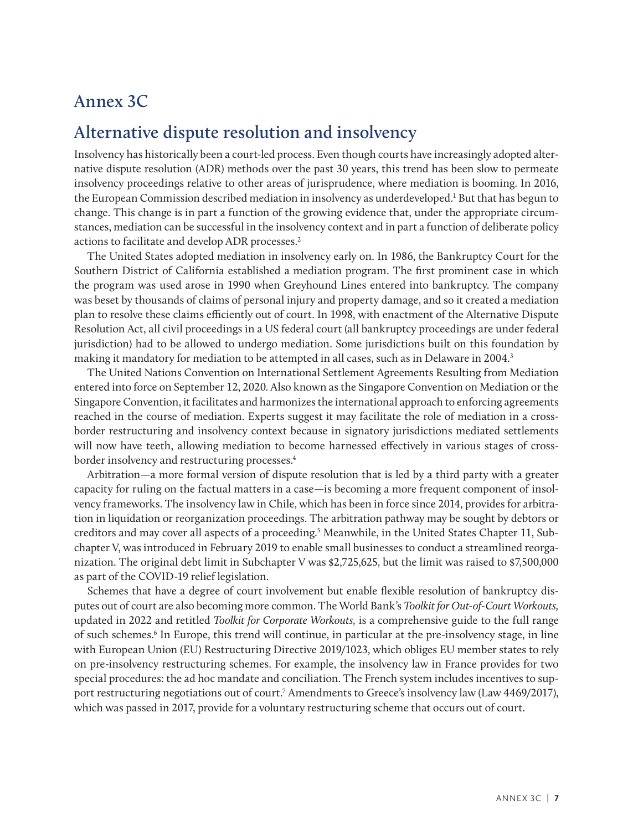## **Annex 3C**

# **Alternative dispute resolution and insolvency**

Insolvency has historically been a court-led process. Even though courts have increasingly adopted alternative dispute resolution (ADR) methods over the past 30 years, this trend has been slow to permeate insolvency proceedings relative to other areas of jurisprudence, where mediation is booming. In 2016, the European Commission described mediation in insolvency as underdeveloped.<sup>1</sup> But that has begun to change. This change is in part a function of the growing evidence that, under the appropriate circumstances, mediation can be successful in the insolvency context and in part a function of deliberate policy actions to facilitate and develop ADR processes.2

The United States adopted mediation in insolvency early on. In 1986, the Bankruptcy Court for the Southern District of California established a mediation program. The first prominent case in which the program was used arose in 1990 when Greyhound Lines entered into bankruptcy. The company was beset by thousands of claims of personal injury and property damage, and so it created a mediation plan to resolve these claims efficiently out of court. In 1998, with enactment of the Alternative Dispute Resolution Act, all civil proceedings in a US federal court (all bankruptcy proceedings are under federal jurisdiction) had to be allowed to undergo mediation. Some jurisdictions built on this foundation by making it mandatory for mediation to be attempted in all cases, such as in Delaware in 2004.<sup>3</sup>

The United Nations Convention on International Settlement Agreements Resulting from Mediation entered into force on September 12, 2020. Also known as the Singapore Convention on Mediation or the Singapore Convention, it facilitates and harmonizes the international approach to enforcing agreements reached in the course of mediation. Experts suggest it may facilitate the role of mediation in a crossborder restructuring and insolvency context because in signatory jurisdictions mediated settlements will now have teeth, allowing mediation to become harnessed effectively in various stages of crossborder insolvency and restructuring processes.4

Arbitration—a more formal version of dispute resolution that is led by a third party with a greater capacity for ruling on the factual matters in a case—is becoming a more frequent component of insolvency frameworks. The insolvency law in Chile, which has been in force since 2014, provides for arbitration in liquidation or reorganization proceedings. The arbitration pathway may be sought by debtors or creditors and may cover all aspects of a proceeding.<sup>5</sup> Meanwhile, in the United States Chapter 11, Subchapter V, was introduced in February 2019 to enable small businesses to conduct a streamlined reorganization. The original debt limit in Subchapter V was \$2,725,625, but the limit was raised to \$7,500,000 as part of the COVID-19 relief legislation.

Schemes that have a degree of court involvement but enable flexible resolution of bankruptcy disputes out of court are also becoming more common. The World Bank's *Toolkit for Out-of-Court Workouts,*  updated in 2022 and retitled *Toolkit for Corporate Workouts,* is a comprehensive guide to the full range of such schemes.<sup>6</sup> In Europe, this trend will continue, in particular at the pre-insolvency stage, in line with European Union (EU) Restructuring Directive 2019/1023, which obliges EU member states to rely on pre-insolvency restructuring schemes. For example, the insolvency law in France provides for two special procedures: the ad hoc mandate and conciliation. The French system includes incentives to support restructuring negotiations out of court.<sup>7</sup> Amendments to Greece's insolvency law (Law 4469/2017), which was passed in 2017, provide for a voluntary restructuring scheme that occurs out of court.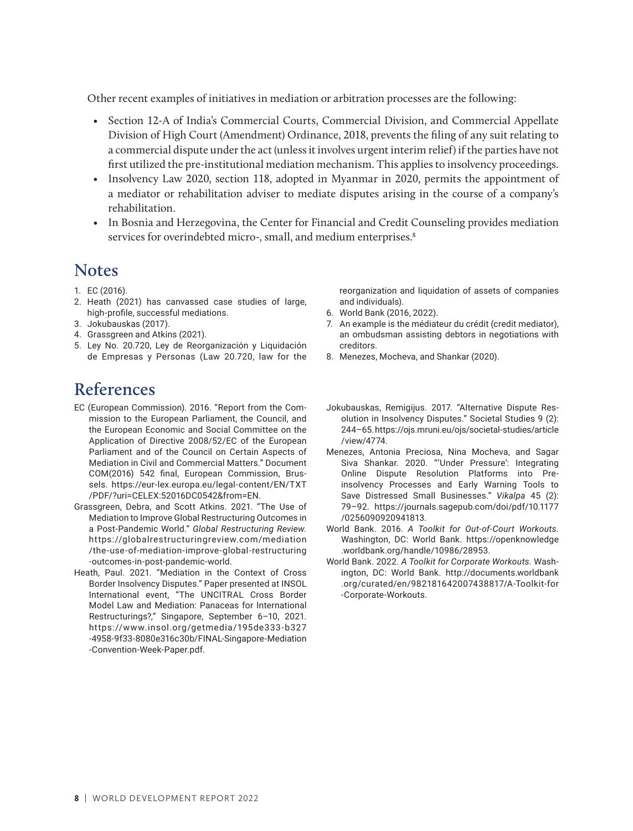Other recent examples of initiatives in mediation or arbitration processes are the following:

- Section 12-A of India's Commercial Courts, Commercial Division, and Commercial Appellate Division of High Court (Amendment) Ordinance, 2018, prevents the filing of any suit relating to a commercial dispute under the act (unless it involves urgent interim relief) if the parties have not first utilized the pre-institutional mediation mechanism. This applies to insolvency proceedings.
- Insolvency Law 2020, section 118, adopted in Myanmar in 2020, permits the appointment of a mediator or rehabilitation adviser to mediate disputes arising in the course of a company's rehabilitation.
- In Bosnia and Herzegovina, the Center for Financial and Credit Counseling provides mediation services for overindebted micro-, small, and medium enterprises.<sup>8</sup>

#### **Notes**

- 1. EC (2016).
- 2. Heath (2021) has canvassed case studies of large, high-profile, successful mediations.
- 3. Jokubauskas (2017).
- 4. Grassgreen and Atkins (2021).
- 5. Ley No. 20.720, Ley de Reorganización y Liquidación de Empresas y Personas (Law 20.720, law for the

reorganization and liquidation of assets of companies and individuals).

- 6. World Bank (2016, 2022).
- 7. An example is the médiateur du crédit (credit mediator), an ombudsman assisting debtors in negotiations with creditors.
- 8. Menezes, Mocheva, and Shankar (2020).

## **References**

- EC (European Commission). 2016. "Report from the Commission to the European Parliament, the Council, and the European Economic and Social Committee on the Application of Directive 2008/52/EC of the European Parliament and of the Council on Certain Aspects of Mediation in Civil and Commercial Matters." Document COM(2016) 542 final, European Commission, Brussels. [https://eur-lex.europa.eu/legal-content/EN/TXT](https://eur-lex.europa.eu/legal-content/EN/TXT/PDF/?uri=CELEX:52016DC0542&from=EN) [/PDF/?uri=CELEX:52016DC0542&from=EN](https://eur-lex.europa.eu/legal-content/EN/TXT/PDF/?uri=CELEX:52016DC0542&from=EN).
- Grassgreen, Debra, and Scott Atkins. 2021. "The Use of Mediation to Improve Global Restructuring Outcomes in a Post-Pandemic World." *Global Restructuring Review.* https://globalrestructuringreview.com/mediation [/the-use-of-mediation-improve-global-restructuring](https://globalrestructuringreview.com/mediation/the-use-of-mediation-improve-global-restructuring-outcomes-in-post-pandemic-world) [-outcomes-in-post-pandemic-world](https://globalrestructuringreview.com/mediation/the-use-of-mediation-improve-global-restructuring-outcomes-in-post-pandemic-world).
- Heath, Paul. 2021. "Mediation in the Context of Cross Border Insolvency Disputes." Paper presented at INSOL International event, "The UNCITRAL Cross Border Model Law and Mediation: Panaceas for International Restructurings?," Singapore, September 6–10, 2021. [ht tps://www.insol.org/getmedia/195de333-b327](https://www.insol.org/getmedia/195de333-b327-4958-9f33-8080e316c30b/FINAL-Singapore-Mediation-Convention-Week-Paper.pdf) [-4958-9f33-8080e316c30b/FINAL-Singapore-Mediation](https://www.insol.org/getmedia/195de333-b327-4958-9f33-8080e316c30b/FINAL-Singapore-Mediation-Convention-Week-Paper.pdf) [-Convention-Week-Paper.pdf](https://www.insol.org/getmedia/195de333-b327-4958-9f33-8080e316c30b/FINAL-Singapore-Mediation-Convention-Week-Paper.pdf).
- Jokubauskas, Remigijus. 2017. "Alternative Dispute Resolution in Insolvency Disputes." Societal Studies 9 (2): 244–65.[https://ojs.mruni.eu/ojs/societal-studies/article](https://ojs.mruni.eu/ojs/societal-studies/article/view/4774) [/view/4774.](https://ojs.mruni.eu/ojs/societal-studies/article/view/4774)
- Menezes, Antonia Preciosa, Nina Mocheva, and Sagar Siva Shankar. 2020. "'Under Pressure': Integrating Online Dispute Resolution Platforms into Preinsolvency Processes and Early Warning Tools to Save Distressed Small Businesses." *Vikalpa* 45 (2): 79–92. [https://journals.sagepub.com/doi/pdf/10.1177](https://journals.sagepub.com/doi/pdf/10.1177/0256090920941813) [/0256090920941813](https://journals.sagepub.com/doi/pdf/10.1177/0256090920941813).
- World Bank. 2016. *A Toolkit for Out-of-Court Workouts.*  Washington, DC: World Bank. https://openknowledge .worldbank.org/handle/10986/28953.
- World Bank. 2022. *A Toolkit for Corporate Workouts.* Washington, DC: World Bank. http://documents.worldbank .org/curated/en/982181642007438817/A-Toolkit-for -Corporate-Workouts.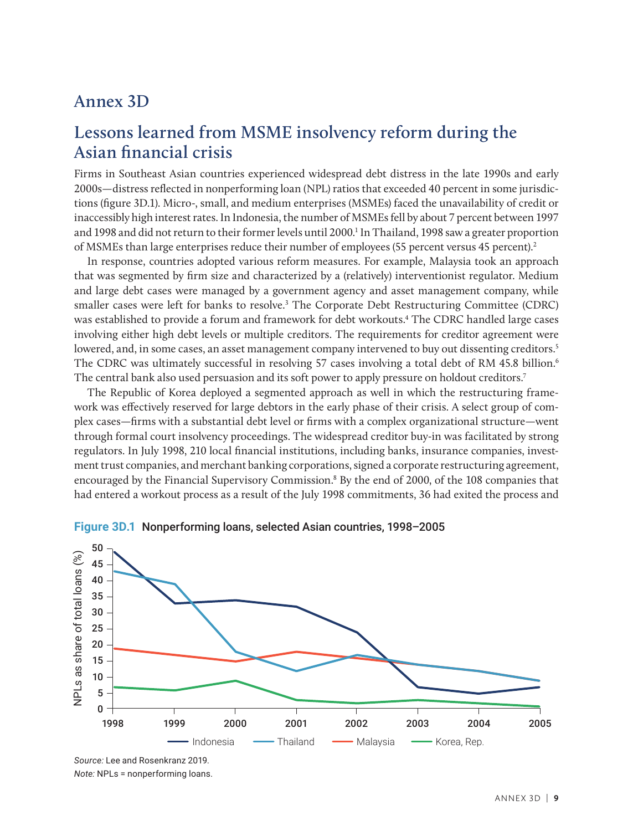#### **Annex 3D**

# **Lessons learned from MSME insolvency reform during the Asian financial crisis**

Firms in Southeast Asian countries experienced widespread debt distress in the late 1990s and early 2000s—distress reflected in nonperforming loan (NPL) ratios that exceeded 40 percent in some jurisdictions (figure 3D.1). Micro-, small, and medium enterprises (MSMEs) faced the unavailability of credit or inaccessibly high interest rates. In Indonesia, the number of MSMEs fell by about 7 percent between 1997 and 1998 and did not return to their former levels until 2000.<sup>1</sup> In Thailand, 1998 saw a greater proportion of MSMEs than large enterprises reduce their number of employees (55 percent versus 45 percent).2

In response, countries adopted various reform measures. For example, Malaysia took an approach that was segmented by firm size and characterized by a (relatively) interventionist regulator. Medium and large debt cases were managed by a government agency and asset management company, while smaller cases were left for banks to resolve.<sup>3</sup> The Corporate Debt Restructuring Committee (CDRC) was established to provide a forum and framework for debt workouts.4 The CDRC handled large cases involving either high debt levels or multiple creditors. The requirements for creditor agreement were lowered, and, in some cases, an asset management company intervened to buy out dissenting creditors.<sup>5</sup> The CDRC was ultimately successful in resolving 57 cases involving a total debt of RM 45.8 billion.<sup>6</sup> The central bank also used persuasion and its soft power to apply pressure on holdout creditors.7

The Republic of Korea deployed a segmented approach as well in which the restructuring framework was effectively reserved for large debtors in the early phase of their crisis. A select group of complex cases—firms with a substantial debt level or firms with a complex organizational structure—went through formal court insolvency proceedings. The widespread creditor buy-in was facilitated by strong regulators. In July 1998, 210 local financial institutions, including banks, insurance companies, investment trust companies, and merchant banking corporations, signed a corporate restructuring agreement, encouraged by the Financial Supervisory Commission.<sup>8</sup> By the end of 2000, of the 108 companies that had entered a workout process as a result of the July 1998 commitments, 36 had exited the process and



#### **Figure 3D.1** Nonperforming loans, selected Asian countries, 1998–2005

*Source:* Lee and Rosenkranz 2019. *Note:* NPLs = nonperforming loans.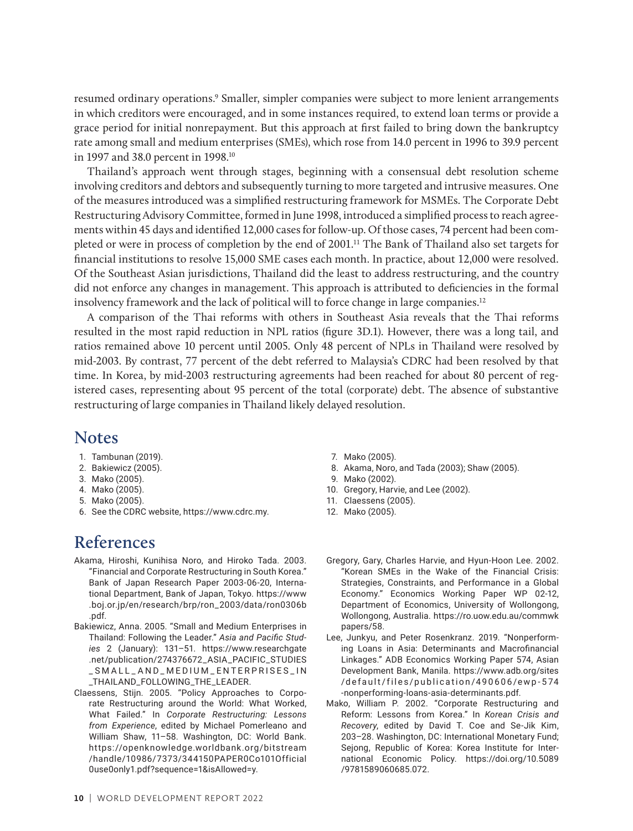resumed ordinary operations.<sup>9</sup> Smaller, simpler companies were subject to more lenient arrangements in which creditors were encouraged, and in some instances required, to extend loan terms or provide a grace period for initial nonrepayment. But this approach at first failed to bring down the bankruptcy rate among small and medium enterprises (SMEs), which rose from 14.0 percent in 1996 to 39.9 percent in 1997 and 38.0 percent in 1998.10

Thailand's approach went through stages, beginning with a consensual debt resolution scheme involving creditors and debtors and subsequently turning to more targeted and intrusive measures. One of the measures introduced was a simplified restructuring framework for MSMEs. The Corporate Debt Restructuring Advisory Committee, formed in June 1998, introduced a simplified process to reach agreements within 45 days and identified 12,000 cases for follow-up. Of those cases, 74 percent had been completed or were in process of completion by the end of 2001.11 The Bank of Thailand also set targets for financial institutions to resolve 15,000 SME cases each month. In practice, about 12,000 were resolved. Of the Southeast Asian jurisdictions, Thailand did the least to address restructuring, and the country did not enforce any changes in management. This approach is attributed to deficiencies in the formal insolvency framework and the lack of political will to force change in large companies.12

A comparison of the Thai reforms with others in Southeast Asia reveals that the Thai reforms resulted in the most rapid reduction in NPL ratios (figure 3D.1). However, there was a long tail, and ratios remained above 10 percent until 2005. Only 48 percent of NPLs in Thailand were resolved by mid-2003. By contrast, 77 percent of the debt referred to Malaysia's CDRC had been resolved by that time. In Korea, by mid-2003 restructuring agreements had been reached for about 80 percent of registered cases, representing about 95 percent of the total (corporate) debt. The absence of substantive restructuring of large companies in Thailand likely delayed resolution.

#### **Notes**

- 1. Tambunan (2019).
- 2. Bakiewicz (2005).
- 3. Mako (2005).
- 4. Mako (2005).
- 5. Mako (2005).
- 6. See the CDRC website, [https://www.cdrc.my.](https://www.cdrc.my/)

# **References**

- Akama, Hiroshi, Kunihisa Noro, and Hiroko Tada. 2003. "Financial and Corporate Restructuring in South Korea." Bank of Japan Research Paper 2003-06-20, International Department, Bank of Japan, Tokyo. [https://www](https://www.boj.or.jp/en/research/brp/ron_2003/data/ron0306b.pdf) [.boj.or.jp/en/research/brp/ron\\_2003/data/ron0306b](https://www.boj.or.jp/en/research/brp/ron_2003/data/ron0306b.pdf) [.pdf.](https://www.boj.or.jp/en/research/brp/ron_2003/data/ron0306b.pdf)
- Bakiewicz, Anna. 2005. "Small and Medium Enterprises in Thailand: Following the Leader." *Asia and Pacific Studies* 2 (January): 131–51. [https://www.researchgate](https://www.researchgate.net/publication/274376672_ASIA_PACIFIC_STUDIES_SMALL_AND_MEDIUM_ENTERPRISES_IN_THAILAND_FOLLOWING_THE_LEADER) [.net/publication/274376672\\_ASIA\\_PACIFIC\\_STUDIES](https://www.researchgate.net/publication/274376672_ASIA_PACIFIC_STUDIES_SMALL_AND_MEDIUM_ENTERPRISES_IN_THAILAND_FOLLOWING_THE_LEADER) [\\_SMALL\\_AND\\_MEDIUM\\_ENTERPRISES\\_IN](https://www.researchgate.net/publication/274376672_ASIA_PACIFIC_STUDIES_SMALL_AND_MEDIUM_ENTERPRISES_IN_THAILAND_FOLLOWING_THE_LEADER) [\\_THAILAND\\_FOLLOWING\\_THE\\_LEADER.](https://www.researchgate.net/publication/274376672_ASIA_PACIFIC_STUDIES_SMALL_AND_MEDIUM_ENTERPRISES_IN_THAILAND_FOLLOWING_THE_LEADER)
- Claessens, Stijn. 2005. "Policy Approaches to Corporate Restructuring around the World: What Worked, What Failed." In *Corporate Restructuring: Lessons from Experience*, edited by Michael Pomerleano and William Shaw, 11–58. Washington, DC: World Bank. https://openknowledge.worldbank.org/bitstream [/handle/10986/7373/344150PAPER0Co101Official](https://openknowledge.worldbank.org/bitstream/handle/10986/7373/344150PAPER0Co101Official0use0only1.pdf?sequence=1&isAllowed=y) [0use0only1.pdf?sequence=1&isAllowed=y.](https://openknowledge.worldbank.org/bitstream/handle/10986/7373/344150PAPER0Co101Official0use0only1.pdf?sequence=1&isAllowed=y)
- 7. Mako (2005).
- 8. Akama, Noro, and Tada (2003); Shaw (2005).
- 9. Mako (2002).
- 10. Gregory, Harvie, and Lee (2002).
- 11. Claessens (2005).
- 12. Mako (2005).
- Gregory, Gary, Charles Harvie, and Hyun-Hoon Lee. 2002. "Korean SMEs in the Wake of the Financial Crisis: Strategies, Constraints, and Performance in a Global Economy." Economics Working Paper WP 02-12, Department of Economics, University of Wollongong, Wollongong, Australia. [https://ro.uow.edu.au/commwk](https://ro.uow.edu.au/commwkpapers/58) [papers/58.](https://ro.uow.edu.au/commwkpapers/58)
- Lee, Junkyu, and Peter Rosenkranz. 2019. "Nonperforming Loans in Asia: Determinants and Macrofinancial Linkages." ADB Economics Working Paper 574, Asian Development Bank, Manila. [https://www.adb.org/sites](https://www.adb.org/sites/default/files/publication/490606/ewp-574-nonperforming-loans-asia-determinants.pdf) [/default/files/publication/490606/ewp-574](https://www.adb.org/sites/default/files/publication/490606/ewp-574-nonperforming-loans-asia-determinants.pdf) [-nonperforming-loans-asia-determinants.pdf](https://www.adb.org/sites/default/files/publication/490606/ewp-574-nonperforming-loans-asia-determinants.pdf).
- Mako, William P. 2002. "Corporate Restructuring and Reform: Lessons from Korea." In *Korean Crisis and Recovery*, edited by David T. Coe and Se-Jik Kim, 203–28. Washington, DC: International Monetary Fund; Sejong, Republic of Korea: Korea Institute for International Economic Policy. [https://doi.org/10.5089](https://doi.org/10.5089/9781589060685.072) [/9781589060685.072.](https://doi.org/10.5089/9781589060685.072)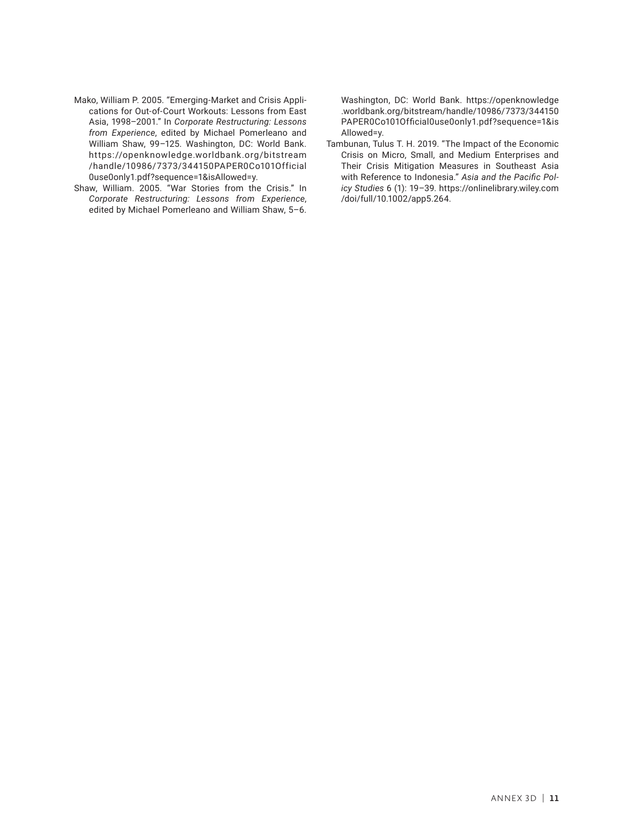- Mako, William P. 2005. "Emerging-Market and Crisis Applications for Out-of-Court Workouts: Lessons from East Asia, 1998–2001." In *Corporate Restructuring: Lessons from Experience*, edited by Michael Pomerleano and William Shaw, 99–125. Washington, DC: World Bank. [ht tps://openknowledge.worldbank.org/bits tream](https://openknowledge.worldbank.org/bitstream/handle/10986/7373/344150PAPER0Co101Official0use0only1.pdf?sequence=1&isAllowed=y) [/handle/10986/7373/344150PAPER0Co101Official](https://openknowledge.worldbank.org/bitstream/handle/10986/7373/344150PAPER0Co101Official0use0only1.pdf?sequence=1&isAllowed=y) [0use0only1.pdf?sequence=1&isAllowed=y.](https://openknowledge.worldbank.org/bitstream/handle/10986/7373/344150PAPER0Co101Official0use0only1.pdf?sequence=1&isAllowed=y)
- Shaw, William. 2005. "War Stories from the Crisis." In *Corporate Restructuring: Lessons from Experience*, edited by Michael Pomerleano and William Shaw, 5–6.

Washington, DC: World Bank. [https://openknowledge](https://openknowledge.worldbank.org/bitstream/handle/10986/7373/344150PAPER0Co101Official0use0only1.pdf?sequence=1&isAllowed=y) [.worldbank.org/bitstream/handle/10986/7373/344150](https://openknowledge.worldbank.org/bitstream/handle/10986/7373/344150PAPER0Co101Official0use0only1.pdf?sequence=1&isAllowed=y) [PAPER0Co101Official0use0only1.pdf?sequence=1&is](https://openknowledge.worldbank.org/bitstream/handle/10986/7373/344150PAPER0Co101Official0use0only1.pdf?sequence=1&isAllowed=y) [Allowed=y](https://openknowledge.worldbank.org/bitstream/handle/10986/7373/344150PAPER0Co101Official0use0only1.pdf?sequence=1&isAllowed=y).

Tambunan, Tulus T. H. 2019. "The Impact of the Economic Crisis on Micro, Small, and Medium Enterprises and Their Crisis Mitigation Measures in Southeast Asia with Reference to Indonesia." *Asia and the Pacific Policy Studies* 6 (1): 19–39. [https://onlinelibrary.wiley.com](https://onlinelibrary.wiley.com/doi/full/10.1002/app5.264) [/doi/full/10.1002/app5.264.](https://onlinelibrary.wiley.com/doi/full/10.1002/app5.264)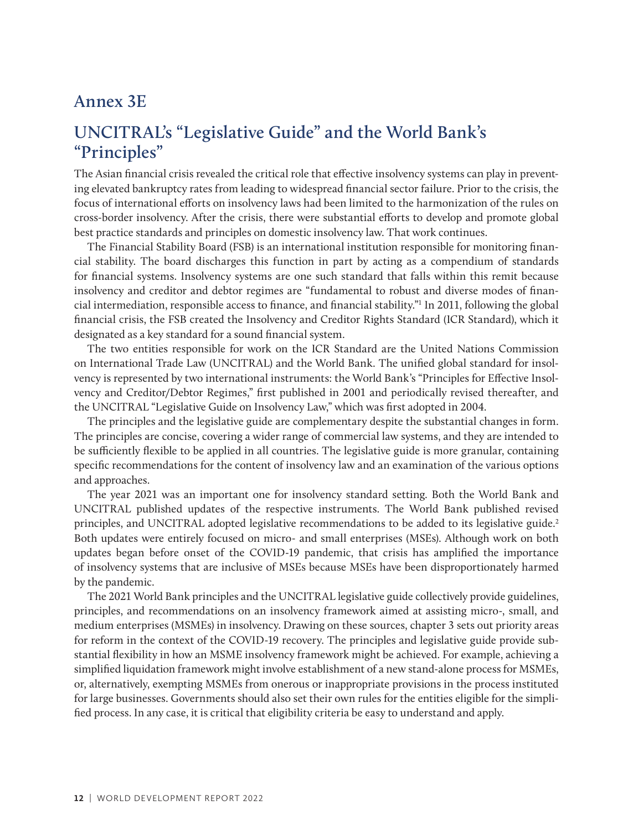#### **Annex 3E**

# **UNCITRAL's "Legislative Guide" and the World Bank's "Principles"**

The Asian financial crisis revealed the critical role that effective insolvency systems can play in preventing elevated bankruptcy rates from leading to widespread financial sector failure. Prior to the crisis, the focus of international efforts on insolvency laws had been limited to the harmonization of the rules on cross-border insolvency. After the crisis, there were substantial efforts to develop and promote global best practice standards and principles on domestic insolvency law. That work continues.

The Financial Stability Board (FSB) is an international institution responsible for monitoring financial stability. The board discharges this function in part by acting as a compendium of standards for financial systems. Insolvency systems are one such standard that falls within this remit because insolvency and creditor and debtor regimes are "fundamental to robust and diverse modes of financial intermediation, responsible access to finance, and financial stability."1 In 2011, following the global financial crisis, the FSB created the Insolvency and Creditor Rights Standard (ICR Standard), which it designated as a key standard for a sound financial system.

The two entities responsible for work on the ICR Standard are the United Nations Commission on International Trade Law (UNCITRAL) and the World Bank. The unified global standard for insolvency is represented by two international instruments: the World Bank's "Principles for Effective Insolvency and Creditor/Debtor Regimes," first published in 2001 and periodically revised thereafter, and the UNCITRAL "Legislative Guide on Insolvency Law," which was first adopted in 2004.

The principles and the legislative guide are complementary despite the substantial changes in form. The principles are concise, covering a wider range of commercial law systems, and they are intended to be sufficiently flexible to be applied in all countries. The legislative guide is more granular, containing specific recommendations for the content of insolvency law and an examination of the various options and approaches.

The year 2021 was an important one for insolvency standard setting. Both the World Bank and UNCITRAL published updates of the respective instruments. The World Bank published revised principles, and UNCITRAL adopted legislative recommendations to be added to its legislative guide.<sup>2</sup> Both updates were entirely focused on micro- and small enterprises (MSEs). Although work on both updates began before onset of the COVID-19 pandemic, that crisis has amplified the importance of insolvency systems that are inclusive of MSEs because MSEs have been disproportionately harmed by the pandemic.

The 2021 World Bank principles and the UNCITRAL legislative guide collectively provide guidelines, principles, and recommendations on an insolvency framework aimed at assisting micro-, small, and medium enterprises (MSMEs) in insolvency. Drawing on these sources, chapter 3 sets out priority areas for reform in the context of the COVID-19 recovery. The principles and legislative guide provide substantial flexibility in how an MSME insolvency framework might be achieved. For example, achieving a simplified liquidation framework might involve establishment of a new stand-alone process for MSMEs, or, alternatively, exempting MSMEs from onerous or inappropriate provisions in the process instituted for large businesses. Governments should also set their own rules for the entities eligible for the simplified process. In any case, it is critical that eligibility criteria be easy to understand and apply.